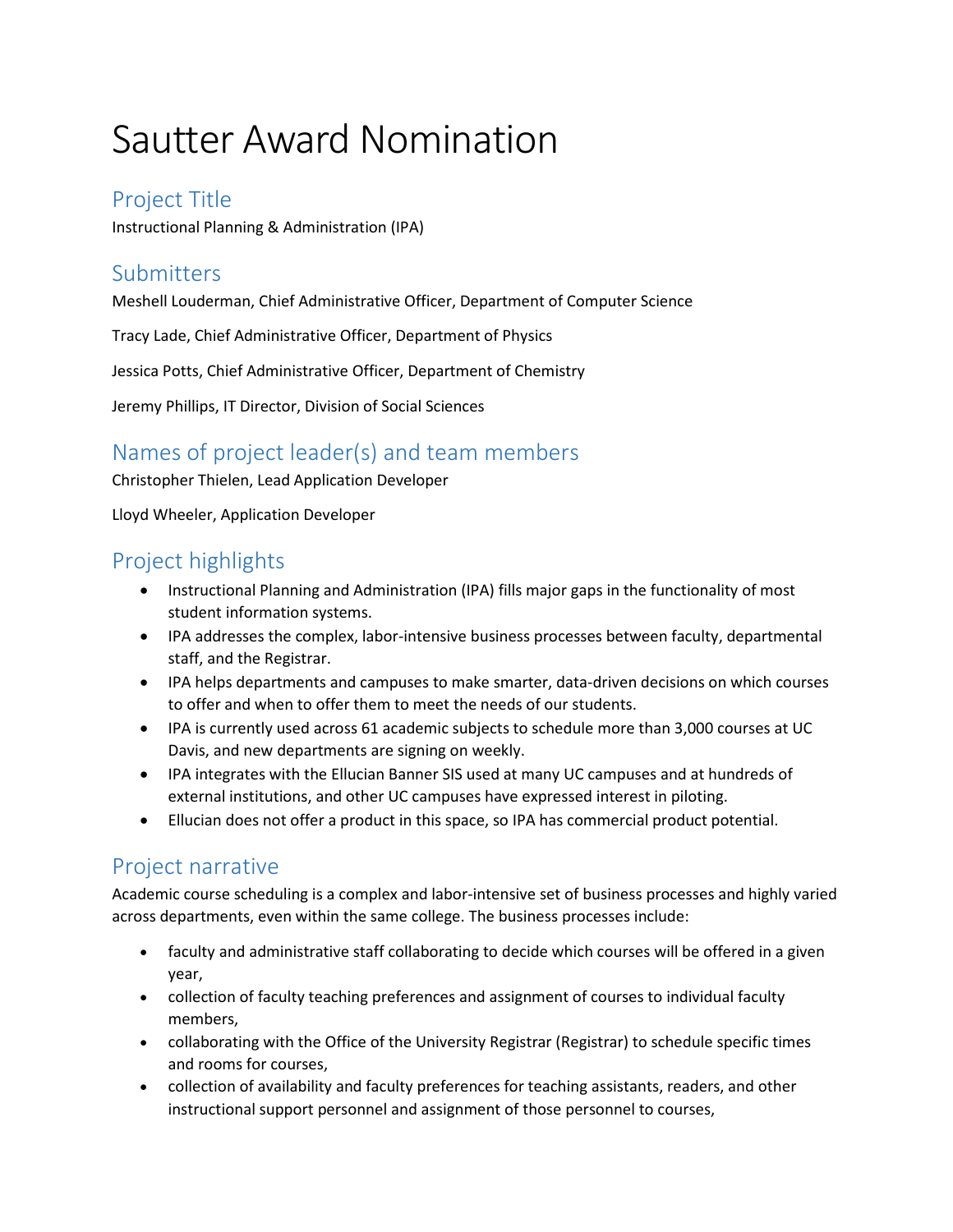# Sautter Award Nomination

#### Project Title

Instructional Planning & Administration (IPA)

# Submitters

Meshell Louderman, Chief Administrative Officer, Department of Computer Science

Tracy Lade, Chief Administrative Officer, Department of Physics

Jessica Potts, Chief Administrative Officer, Department of Chemistry

Jeremy Phillips, IT Director, Division of Social Sciences

### Names of project leader(s) and team members

Christopher Thielen, Lead Application Developer

Lloyd Wheeler, Application Developer

# Project highlights

- Instructional Planning and Administration (IPA) fills major gaps in the functionality of most student information systems.
- IPA addresses the complex, labor-intensive business processes between faculty, departmental staff, and the Registrar.
- IPA helps departments and campuses to make smarter, data-driven decisions on which courses to offer and when to offer them to meet the needs of our students.
- IPA is currently used across 61 academic subjects to schedule more than 3,000 courses at UC Davis, and new departments are signing on weekly.
- IPA integrates with the Ellucian Banner SIS used at many UC campuses and at hundreds of external institutions, and other UC campuses have expressed interest in piloting.
- Ellucian does not offer a product in this space, so IPA has commercial product potential.

# Project narrative

Academic course scheduling is a complex and labor-intensive set of business processes and highly varied across departments, even within the same college. The business processes include:

- faculty and administrative staff collaborating to decide which courses will be offered in a given year,
- collection of faculty teaching preferences and assignment of courses to individual faculty members,
- collaborating with the Office of the University Registrar (Registrar) to schedule specific times and rooms for courses,
- collection of availability and faculty preferences for teaching assistants, readers, and other instructional support personnel and assignment of those personnel to courses,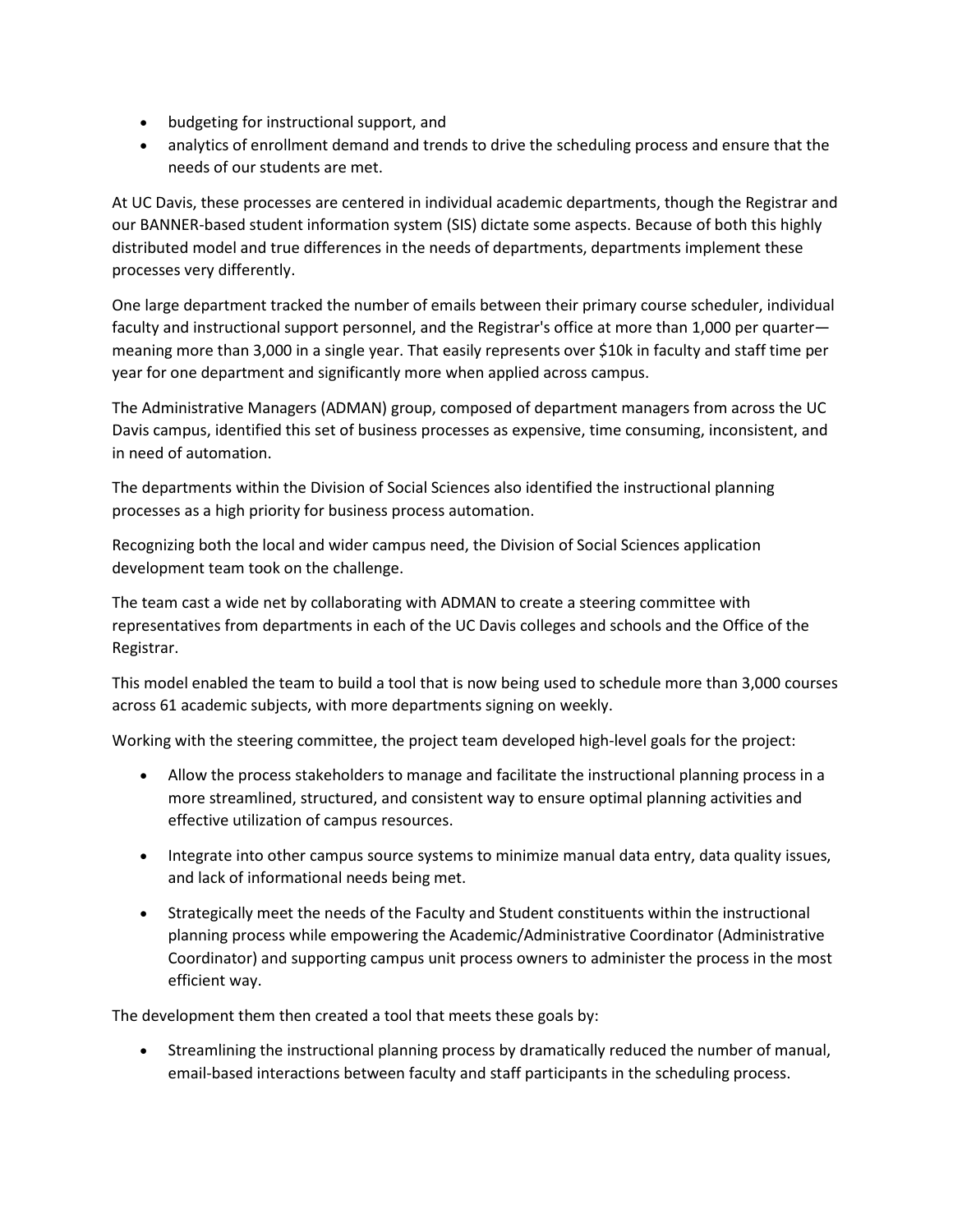- budgeting for instructional support, and
- analytics of enrollment demand and trends to drive the scheduling process and ensure that the needs of our students are met.

At UC Davis, these processes are centered in individual academic departments, though the Registrar and our BANNER-based student information system (SIS) dictate some aspects. Because of both this highly distributed model and true differences in the needs of departments, departments implement these processes very differently.

One large department tracked the number of emails between their primary course scheduler, individual faculty and instructional support personnel, and the Registrar's office at more than 1,000 per quarter meaning more than 3,000 in a single year. That easily represents over \$10k in faculty and staff time per year for one department and significantly more when applied across campus.

The Administrative Managers (ADMAN) group, composed of department managers from across the UC Davis campus, identified this set of business processes as expensive, time consuming, inconsistent, and in need of automation.

The departments within the Division of Social Sciences also identified the instructional planning processes as a high priority for business process automation.

Recognizing both the local and wider campus need, the Division of Social Sciences application development team took on the challenge.

The team cast a wide net by collaborating with ADMAN to create a steering committee with representatives from departments in each of the UC Davis colleges and schools and the Office of the Registrar.

This model enabled the team to build a tool that is now being used to schedule more than 3,000 courses across 61 academic subjects, with more departments signing on weekly.

Working with the steering committee, the project team developed high-level goals for the project:

- Allow the process stakeholders to manage and facilitate the instructional planning process in a more streamlined, structured, and consistent way to ensure optimal planning activities and effective utilization of campus resources.
- Integrate into other campus source systems to minimize manual data entry, data quality issues, and lack of informational needs being met.
- Strategically meet the needs of the Faculty and Student constituents within the instructional planning process while empowering the Academic/Administrative Coordinator (Administrative Coordinator) and supporting campus unit process owners to administer the process in the most efficient way.

The development them then created a tool that meets these goals by:

• Streamlining the instructional planning process by dramatically reduced the number of manual, email-based interactions between faculty and staff participants in the scheduling process.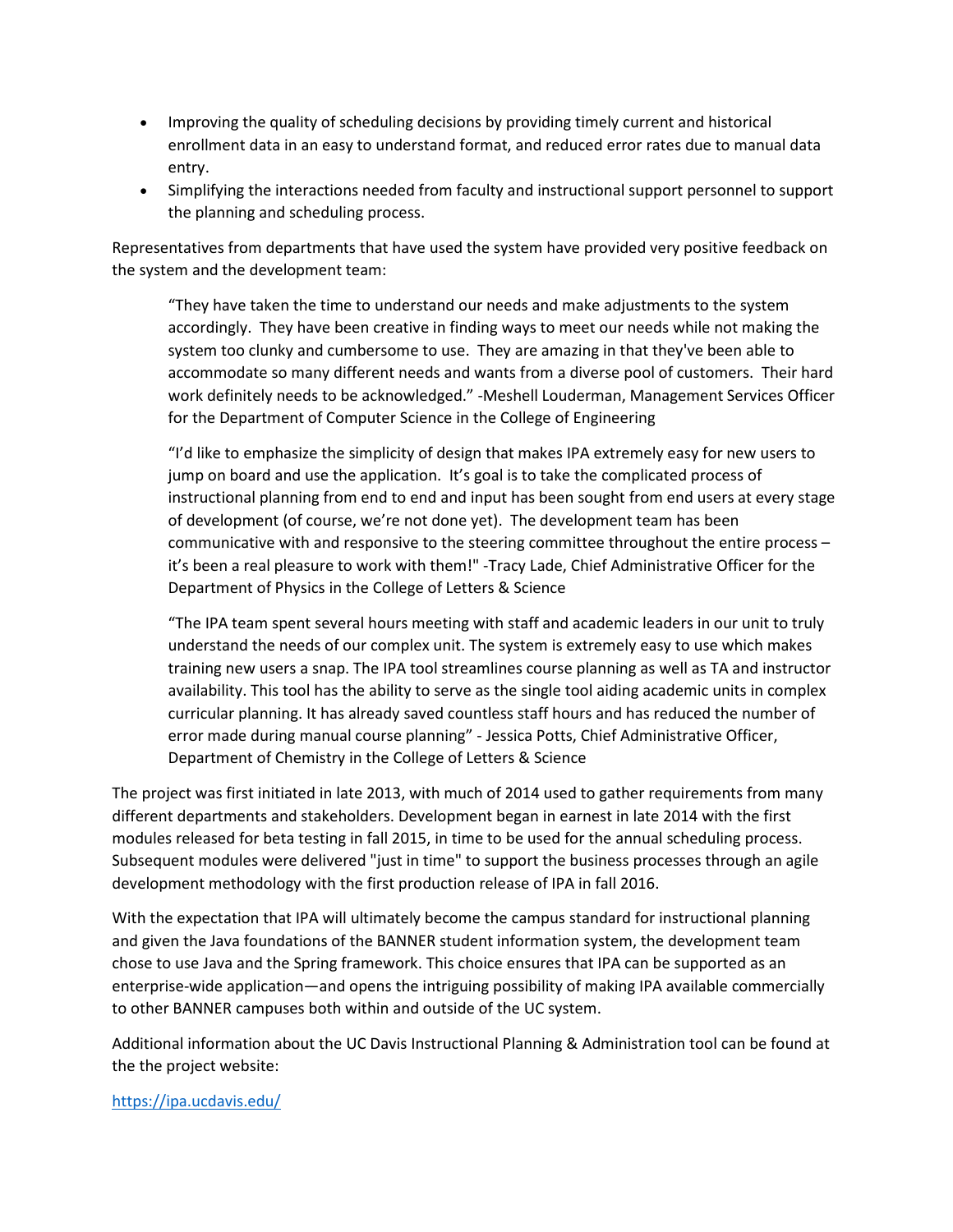- Improving the quality of scheduling decisions by providing timely current and historical enrollment data in an easy to understand format, and reduced error rates due to manual data entry.
- Simplifying the interactions needed from faculty and instructional support personnel to support the planning and scheduling process.

Representatives from departments that have used the system have provided very positive feedback on the system and the development team:

"They have taken the time to understand our needs and make adjustments to the system accordingly. They have been creative in finding ways to meet our needs while not making the system too clunky and cumbersome to use. They are amazing in that they've been able to accommodate so many different needs and wants from a diverse pool of customers. Their hard work definitely needs to be acknowledged." -Meshell Louderman, Management Services Officer for the Department of Computer Science in the College of Engineering

"I'd like to emphasize the simplicity of design that makes IPA extremely easy for new users to jump on board and use the application. It's goal is to take the complicated process of instructional planning from end to end and input has been sought from end users at every stage of development (of course, we're not done yet). The development team has been communicative with and responsive to the steering committee throughout the entire process – it's been a real pleasure to work with them!" -Tracy Lade, Chief Administrative Officer for the Department of Physics in the College of Letters & Science

"The IPA team spent several hours meeting with staff and academic leaders in our unit to truly understand the needs of our complex unit. The system is extremely easy to use which makes training new users a snap. The IPA tool streamlines course planning as well as TA and instructor availability. This tool has the ability to serve as the single tool aiding academic units in complex curricular planning. It has already saved countless staff hours and has reduced the number of error made during manual course planning" - Jessica Potts, Chief Administrative Officer, Department of Chemistry in the College of Letters & Science

The project was first initiated in late 2013, with much of 2014 used to gather requirements from many different departments and stakeholders. Development began in earnest in late 2014 with the first modules released for beta testing in fall 2015, in time to be used for the annual scheduling process. Subsequent modules were delivered "just in time" to support the business processes through an agile development methodology with the first production release of IPA in fall 2016.

With the expectation that IPA will ultimately become the campus standard for instructional planning and given the Java foundations of the BANNER student information system, the development team chose to use Java and the Spring framework. This choice ensures that IPA can be supported as an enterprise-wide application—and opens the intriguing possibility of making IPA available commercially to other BANNER campuses both within and outside of the UC system.

Additional information about the UC Davis Instructional Planning & Administration tool can be found at the the project website:

#### <https://ipa.ucdavis.edu/>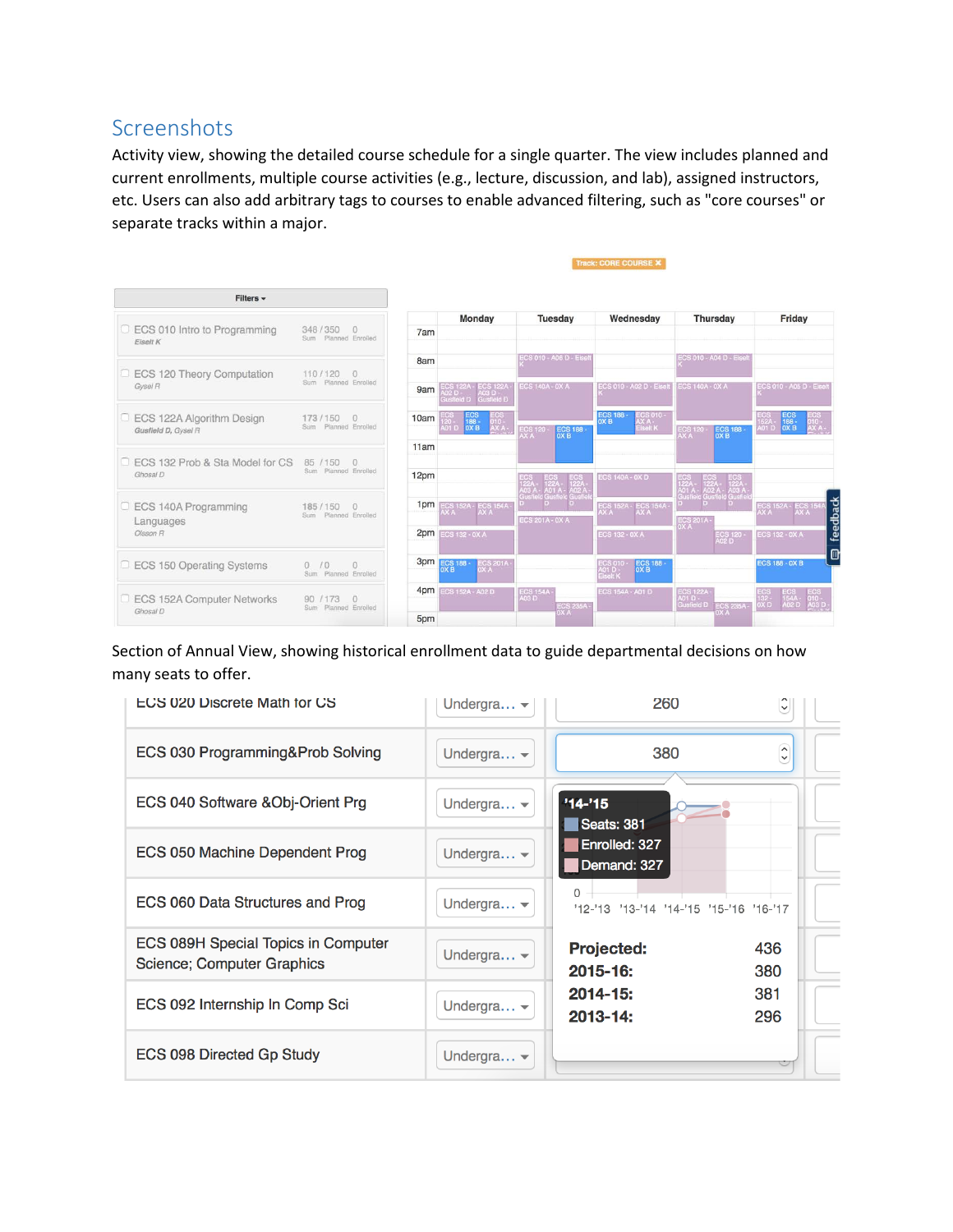# Screenshots

Activity view, showing the detailed course schedule for a single quarter. The view includes planned and current enrollments, multiple course activities (e.g., lecture, discussion, and lab), assigned instructors, etc. Users can also add arbitrary tags to courses to enable advanced filtering, such as "core courses" or separate tracks within a major.

Track: CORE COURSE X

| Filters +                                        |                                             |      |                                                                     |                                       |                                                       |                                                                 |                                                                                                                    |
|--------------------------------------------------|---------------------------------------------|------|---------------------------------------------------------------------|---------------------------------------|-------------------------------------------------------|-----------------------------------------------------------------|--------------------------------------------------------------------------------------------------------------------|
| <b>ECS 010 Intro to Programming</b>              | 348/350<br>$\Omega$                         | 7am  | Monday                                                              | <b>Tuesday</b>                        | Wednesday                                             | <b>Thursday</b>                                                 | Friday                                                                                                             |
| Eiselt K                                         | Sum Planned Enrolled                        |      |                                                                     |                                       |                                                       |                                                                 |                                                                                                                    |
| ECS 120 Theory Computation                       | 110/120<br>$\Omega$                         | 8am  |                                                                     | ECS 010 - A06 D - Elsei               |                                                       | <b>ECS 010 - A04 D - Eisel</b>                                  |                                                                                                                    |
| Gysel R                                          | Sum Planned Enrolled                        | 9am  | ECS 122A - ECS 122A -<br>A02 D - A03 D -<br>Gusfield D - Gusfield D | <b>ECS 140A - 0X A</b>                | ECS 010 - A02 D - Eisel                               | <b>ECS 140A - 0X A</b>                                          | ECS 010 - A05 D - Eisel                                                                                            |
| ECS 122A Algorithm Design<br>Gusfield D, Gysel R | 173/150<br>$\Omega$<br>Sum Planned Enrolled | 10am | $rac{BCS}{188}$<br>OX B<br>AX A-<br>401 D                           |                                       | ECS 188 -<br>0X B<br><b>ECS 010 -</b><br>selt K       |                                                                 | $\begin{array}{c} \text{ECS} \\ \text{188} \\ \text{0X B} \end{array}$<br>ECS<br>152A -<br>A01 D<br>$010 -$<br>AXA |
|                                                  |                                             | 11am |                                                                     | ECS 188 -<br><b>ECS 120 -</b><br>AX A |                                                       | ECS 188 -<br><b>ECS 120 -</b><br>AX A                           |                                                                                                                    |
| ECS 132 Prob & Sta Model for CS<br>Ghosal D      | 85 / 150<br>$\Box$<br>Sum Planned Enrolled  | 12pm |                                                                     |                                       | <b>ECS 140A - 0X D.</b>                               |                                                                 |                                                                                                                    |
|                                                  |                                             |      |                                                                     | A03 A<br>Gustiel<br>A01 A<br>Gush     |                                                       | 122.<br>122A<br>A03 A<br>Gusfie<br>A02 A -<br>Gustielo<br>A01 A |                                                                                                                    |
| ECS 140A Programming<br>la l                     | 185/150<br>$\Omega$<br>Sum Planned Enrolled | 1pm  | ECS 152A - ECS 154A -<br>AX A<br>AX A<br>AX A                       | <b>ECS 201A - 0X A</b>                |                                                       |                                                                 | feedback<br><b>ECS 152A - ECS 154</b><br>AX A AX A                                                                 |
| Languages<br>Olsson R                            |                                             |      | 2pm ECS 132 - 0X A                                                  |                                       | <b>ECS 132 - 0X A</b>                                 | ECS 201A -<br>0X A<br>ECS 120 -<br>A02 D                        | <b>ECS 132 - 0X A</b>                                                                                              |
| <b>ECS 150 Operating Systems</b>                 | 0/0<br>$\Omega$<br>Sum Planned Enrolled     |      | 3pm ECS 188 -<br>$\frac{\text{ECS}}{\text{OX A}}$<br>OX B           |                                       | ECS 188 -<br>0X B<br>ECS 010 -<br>A01 D -<br>Eiselt K |                                                                 | <b>ECS 188 - 0X B</b>                                                                                              |
| ECS 152A Computer Networks                       | 90<br>173                                   | 4pm  | <b>ECS 152A - A02 D</b>                                             | ECS 154A -<br>A03 D                   | <b>ECS 154A - A01 D</b>                               | ECS 122A -<br>A01 D -<br>Gusfield D                             | 154A -<br>132 -<br>0X D<br><b>103 F</b>                                                                            |
| Ghosal D                                         | Sum Planned Enrolled                        | 5pm  |                                                                     | <b>ECS 235A -</b><br>OX A             |                                                       | <b>ECS 235A-</b>                                                |                                                                                                                    |

Section of Annual View, showing historical enrollment data to guide departmental decisions on how many seats to offer.

| <b>ECS 020 Discrete Math for CS</b>                               | Undergra $\blacktriangleright$ | 260                                                 | $\checkmark$          |
|-------------------------------------------------------------------|--------------------------------|-----------------------------------------------------|-----------------------|
| ECS 030 Programming&Prob Solving                                  | Undergra $\blacktriangleright$ | 380                                                 | $\sim$<br>$\check{~}$ |
| ECS 040 Software &Obj-Orient Prg                                  | Undergra $\blacktriangleright$ | $'14-'15$<br>Seats: 381                             |                       |
| ECS 050 Machine Dependent Prog                                    | Undergra $\blacktriangledown$  | Enrolled: 327<br>Demand: 327                        |                       |
| ECS 060 Data Structures and Prog                                  | Undergra $\blacktriangledown$  | $\Omega$<br>'12-'13 '13-'14 '14-'15 '15-'16 '16-'17 |                       |
| ECS 089H Special Topics in Computer<br>Science; Computer Graphics | Undergra $\blacktriangleright$ | <b>Projected:</b><br>$2015 - 16:$                   | 436<br>380            |
| ECS 092 Internship In Comp Sci                                    | Undergra $\blacktriangleright$ | $2014 - 15:$<br>$2013 - 14:$                        | 381<br>296            |
| ECS 098 Directed Gp Study                                         | Undergra $\blacktriangledown$  |                                                     |                       |